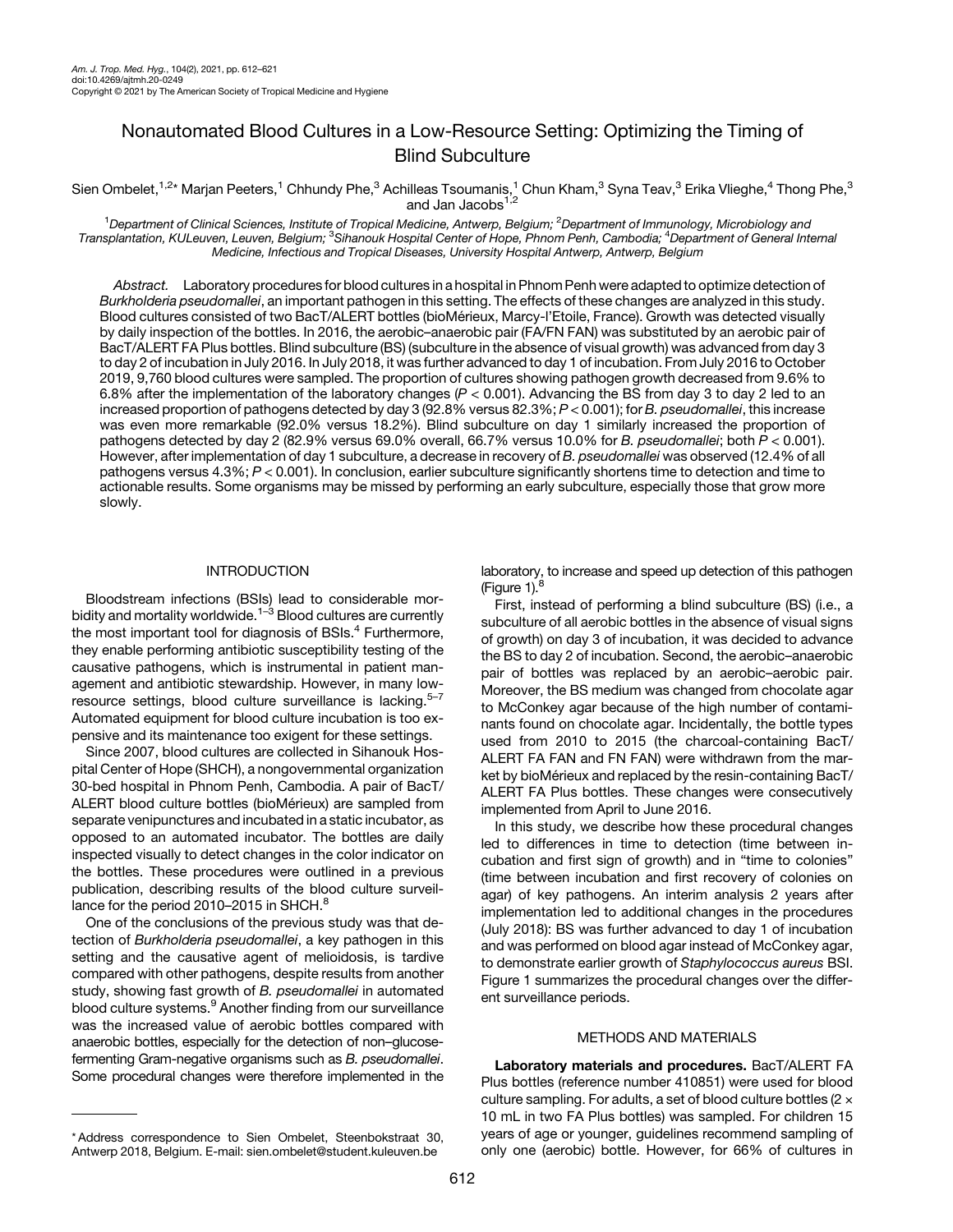# Nonautomated Blood Cultures in a Low-Resource Setting: Optimizing the Timing of Blind Subculture

Sien Ombelet, $^{1,2\star}$  Marjan Peeters, $^1$  Chhundy Phe, $^3$  Achilleas Tsoumanis, $^1$  Chun Kham, $^3$  Syna Teav, $^3$  Erika Vlieghe, $^4$  Thong Phe, $^3$ and Jan Jacobs<sup>1,2</sup>

<sup>1</sup>Department of Clinical Sciences, Institute of Tropical Medicine, Antwerp, Belgium; <sup>2</sup>Department of Immunology, Microbiology and Transplantation, KULeuven, Leuven, Belgium; <sup>3</sup>Sihanouk Hospital Center of Hope, Phnom Penh, Cambodia; <sup>4</sup>Department of General Internal Medicine, Infectious and Tropical Diseases, University Hospital Antwerp, Antwerp, Belgium

Abstract. Laboratory procedures for blood cultures in a hospital in Phnom Penh were adapted to optimize detection of Burkholderia pseudomallei, an important pathogen in this setting. The effects of these changes are analyzed in this study. Blood cultures consisted of two BacT/ALERT bottles (bioMérieux, Marcy-l'Etoile, France). Growth was detected visually by daily inspection of the bottles. In 2016, the aerobic–anaerobic pair (FA/FN FAN) was substituted by an aerobic pair of BacT/ALERT FA Plus bottles. Blind subculture (BS) (subculture in the absence of visual growth) was advanced from day 3 to day 2 of incubation in July 2016. In July 2018, it was further advanced to day 1 of incubation. From July 2016 to October 2019, 9,760 blood cultures were sampled. The proportion of cultures showing pathogen growth decreased from 9.6% to 6.8% after the implementation of the laboratory changes  $(P < 0.001)$ . Advancing the BS from day 3 to day 2 led to an increased proportion of pathogens detected by day 3 (92.8% versus 82.3%; P < 0.001); for B. pseudomallei, this increase was even more remarkable (92.0% versus 18.2%). Blind subculture on day 1 similarly increased the proportion of pathogens detected by day 2 (82.9% versus 69.0% overall, 66.7% versus 10.0% for B. pseudomallei; both P < 0.001). However, after implementation of day 1 subculture, a decrease in recovery of B. pseudomallei was observed (12.4% of all pathogens versus 4.3%; P < 0.001). In conclusion, earlier subculture significantly shortens time to detection and time to actionable results. Some organisms may be missed by performing an early subculture, especially those that grow more slowly.

## INTRODUCTION

Bloodstream infections (BSIs) lead to considerable mor-bidity and mortality worldwide.<sup>[1](#page-8-0)–[3](#page-8-0)</sup> Blood cultures are currently the most important tool for diagnosis of BSIs.<sup>[4](#page-8-0)</sup> Furthermore, they enable performing antibiotic susceptibility testing of the causative pathogens, which is instrumental in patient management and antibiotic stewardship. However, in many low-resource settings, blood culture surveillance is lacking.<sup>[5](#page-8-0)-[7](#page-8-0)</sup> Automated equipment for blood culture incubation is too expensive and its maintenance too exigent for these settings.

Since 2007, blood cultures are collected in Sihanouk Hospital Center of Hope (SHCH), a nongovernmental organization 30-bed hospital in Phnom Penh, Cambodia. A pair of BacT/ ALERT blood culture bottles (bioMérieux) are sampled from separate venipunctures and incubated in a static incubator, as opposed to an automated incubator. The bottles are daily inspected visually to detect changes in the color indicator on the bottles. These procedures were outlined in a previous publication, describing results of the blood culture surveil-lance for the period 2010-2015 in SHCH.<sup>[8](#page-8-0)</sup>

One of the conclusions of the previous study was that detection of Burkholderia pseudomallei, a key pathogen in this setting and the causative agent of melioidosis, is tardive compared with other pathogens, despite results from another study, showing fast growth of B. pseudomallei in automated blood culture systems.<sup>[9](#page-8-0)</sup> Another finding from our surveillance was the increased value of aerobic bottles compared with anaerobic bottles, especially for the detection of non–glucosefermenting Gram-negative organisms such as B. pseudomallei. Some procedural changes were therefore implemented in the

laboratory, to increase and speed up detection of this pathogen (Figure  $1$ ). $8$ 

First, instead of performing a blind subculture (BS) (i.e., a subculture of all aerobic bottles in the absence of visual signs of growth) on day 3 of incubation, it was decided to advance the BS to day 2 of incubation. Second, the aerobic–anaerobic pair of bottles was replaced by an aerobic–aerobic pair. Moreover, the BS medium was changed from chocolate agar to McConkey agar because of the high number of contaminants found on chocolate agar. Incidentally, the bottle types used from 2010 to 2015 (the charcoal-containing BacT/ ALERT FA FAN and FN FAN) were withdrawn from the market by bioMérieux and replaced by the resin-containing BacT/ ALERT FA Plus bottles. These changes were consecutively implemented from April to June 2016.

In this study, we describe how these procedural changes led to differences in time to detection (time between incubation and first sign of growth) and in "time to colonies" (time between incubation and first recovery of colonies on agar) of key pathogens. An interim analysis 2 years after implementation led to additional changes in the procedures (July 2018): BS was further advanced to day 1 of incubation and was performed on blood agar instead of McConkey agar, to demonstrate earlier growth of Staphylococcus aureus BSI. [Figure 1](#page-1-0) summarizes the procedural changes over the different surveillance periods.

### METHODS AND MATERIALS

Laboratory materials and procedures. BacT/ALERT FA Plus bottles (reference number 410851) were used for blood culture sampling. For adults, a set of blood culture bottles ( $2 \times$ 10 mL in two FA Plus bottles) was sampled. For children 15 years of age or younger, guidelines recommend sampling of only one (aerobic) bottle. However, for 66% of cultures in

<sup>\*</sup> Address correspondence to Sien Ombelet, Steenbokstraat 30, Antwerp 2018, Belgium. E-mail: [sien.ombelet@student.kuleuven.be](mailto:sien.ombelet@student.kuleuven.be)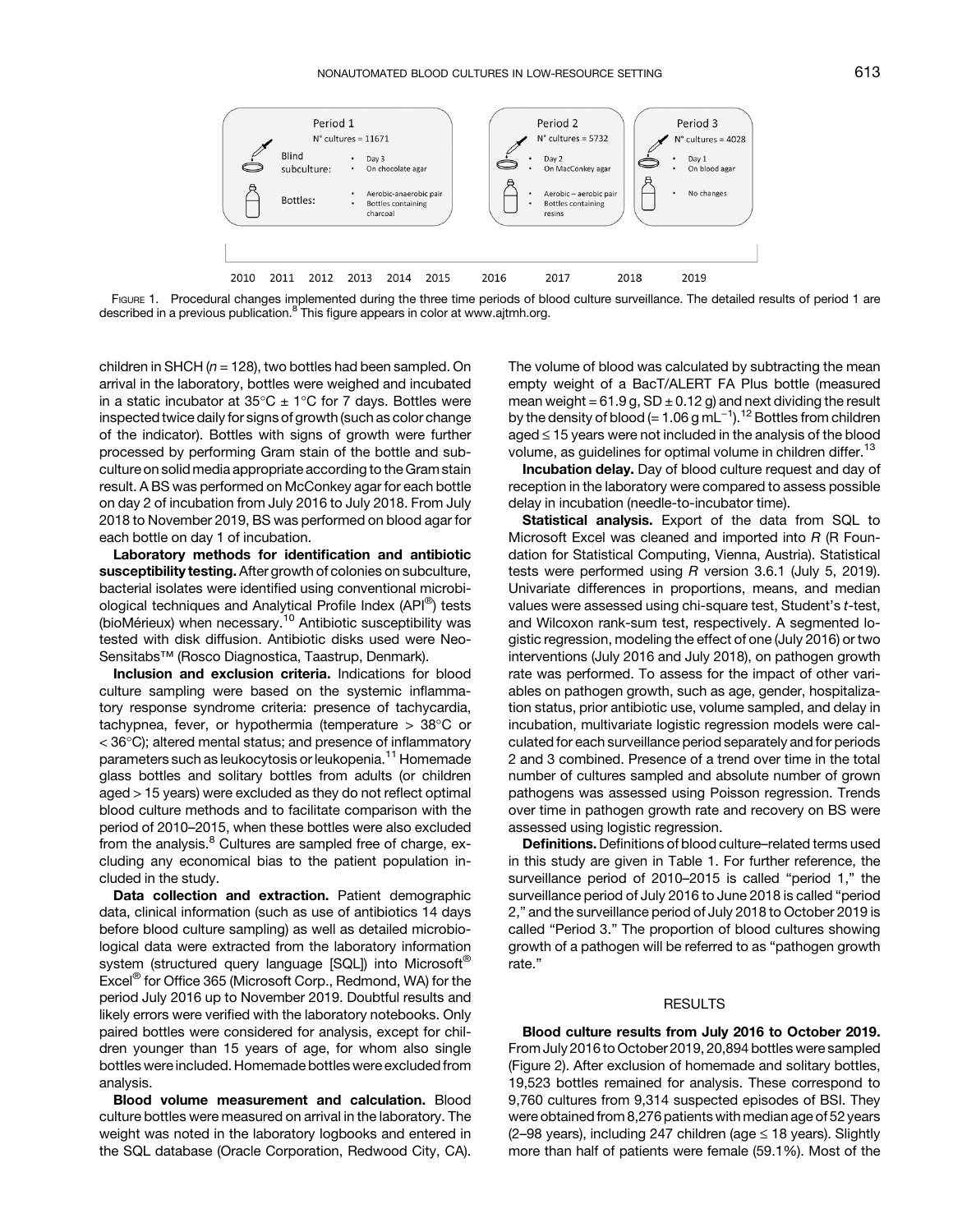<span id="page-1-0"></span>

FIGURE 1. Procedural changes implemented during the three time periods of blood culture surveillance. The detailed results of period 1 are described in a previous publication. $8$  This figure appears in color at [www.ajtmh.org.](https://www.ajtmh.org)

children in SHCH ( $n = 128$ ), two bottles had been sampled. On arrival in the laboratory, bottles were weighed and incubated in a static incubator at  $35^{\circ}C \pm 1^{\circ}C$  for 7 days. Bottles were inspected twice daily for signs of growth (such as color change of the indicator). Bottles with signs of growth were further processed by performing Gram stain of the bottle and subculture on solid media appropriate according to the Gram stain result. A BS was performed on McConkey agar for each bottle on day 2 of incubation from July 2016 to July 2018. From July 2018 to November 2019, BS was performed on blood agar for each bottle on day 1 of incubation.

Laboratory methods for identification and antibiotic susceptibility testing. After growth of colonies on subculture, bacterial isolates were identified using conventional microbiological techniques and Analytical Profile Index (API®) tests (bioMérieux) when necessary. $10$  Antibiotic susceptibility was tested with disk diffusion. Antibiotic disks used were Neo-Sensitabs™ (Rosco Diagnostica, Taastrup, Denmark).

Inclusion and exclusion criteria. Indications for blood culture sampling were based on the systemic inflammatory response syndrome criteria: presence of tachycardia, tachypnea, fever, or hypothermia (temperature  $> 38^{\circ}$ C or  $<$  36 $^{\circ}$ C); altered mental status; and presence of inflammatory parameters such as leukocytosis or leukopenia.<sup>[11](#page-8-0)</sup> Homemade glass bottles and solitary bottles from adults (or children aged > 15 years) were excluded as they do not reflect optimal blood culture methods and to facilitate comparison with the period of 2010–2015, when these bottles were also excluded from the analysis. $8$  Cultures are sampled free of charge, excluding any economical bias to the patient population included in the study.

Data collection and extraction. Patient demographic data, clinical information (such as use of antibiotics 14 days before blood culture sampling) as well as detailed microbiological data were extracted from the laboratory information system (structured query language [SQL]) into Microsoft<sup>®</sup> Excel® for Office 365 (Microsoft Corp., Redmond, WA) for the period July 2016 up to November 2019. Doubtful results and likely errors were verified with the laboratory notebooks. Only paired bottles were considered for analysis, except for children younger than 15 years of age, for whom also single bottles were included. Homemade bottles were excluded from analysis.

Blood volume measurement and calculation. Blood culture bottles were measured on arrival in the laboratory. The weight was noted in the laboratory logbooks and entered in the SQL database (Oracle Corporation, Redwood City, CA). The volume of blood was calculated by subtracting the mean empty weight of a BacT/ALERT FA Plus bottle (measured mean weight =  $61.9$  g,  $SD \pm 0.12$  g) and next dividing the result by substanting the meaning the meaning the measure<br>empty weight of a BacT/ALERT FA Plus bottle (measured<br>mean weight = 61.9 g, SD ± 0.[12](#page-8-0) g) and next dividing the result<br>by the density of blood (= 1.06 g mL<sup>−1</sup>).<sup>12</sup> Bottl  $a$ ged  $\leq$  15 years were not included in the analysis of the blood volume, as guidelines for optimal volume in children differ.<sup>[13](#page-8-0)</sup>

Incubation delay. Day of blood culture request and day of reception in the laboratory were compared to assess possible delay in incubation (needle-to-incubator time).

Statistical analysis. Export of the data from SQL to Microsoft Excel was cleaned and imported into R (R Foundation for Statistical Computing, Vienna, Austria). Statistical tests were performed using R version 3.6.1 (July 5, 2019). Univariate differences in proportions, means, and median values were assessed using chi-square test, Student's t-test, and Wilcoxon rank-sum test, respectively. A segmented logistic regression, modeling the effect of one (July 2016) or two interventions (July 2016 and July 2018), on pathogen growth rate was performed. To assess for the impact of other variables on pathogen growth, such as age, gender, hospitalization status, prior antibiotic use, volume sampled, and delay in incubation, multivariate logistic regression models were calculated for each surveillance period separately and for periods 2 and 3 combined. Presence of a trend over time in the total number of cultures sampled and absolute number of grown pathogens was assessed using Poisson regression. Trends over time in pathogen growth rate and recovery on BS were assessed using logistic regression.

Definitions. Definitions of blood culture–related terms used in this study are given in [Table 1.](#page-2-0) For further reference, the surveillance period of 2010–2015 is called "period 1," the surveillance period of July 2016 to June 2018 is called "period 2," and the surveillance period of July 2018 to October 2019 is called "Period 3." The proportion of blood cultures showing growth of a pathogen will be referred to as "pathogen growth rate."

#### RESULTS

Blood culture results from July 2016 to October 2019. From July 2016 to October 2019, 20,894 bottles were sampled [\(Figure 2](#page-3-0)). After exclusion of homemade and solitary bottles, 19,523 bottles remained for analysis. These correspond to 9,760 cultures from 9,314 suspected episodes of BSI. They were obtained from 8,276 patients with median age of 52 years (2–98 years), including 247 children (age  $\leq$  18 years). Slightly more than half of patients were female (59.1%). Most of the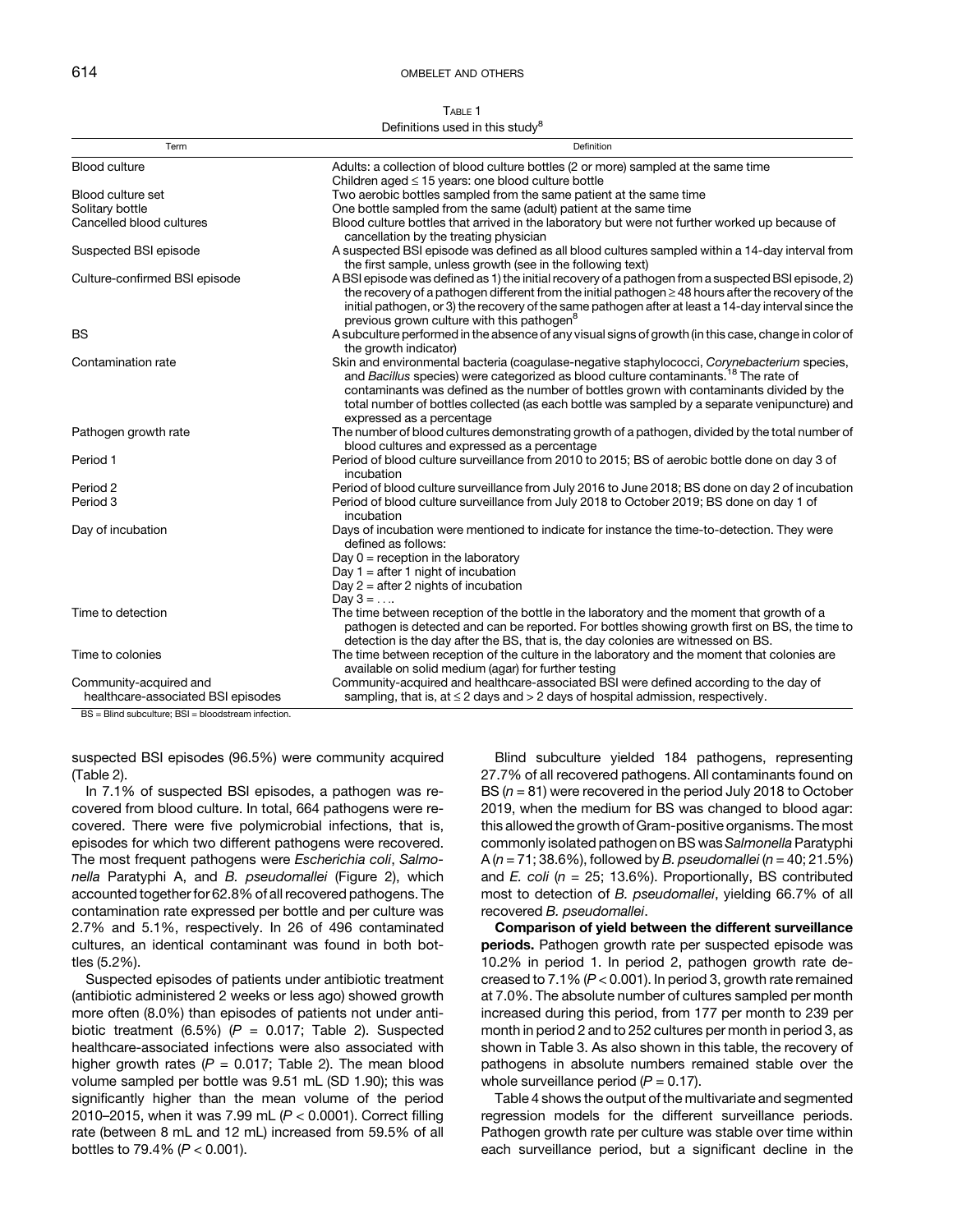TABLE 1

<span id="page-2-0"></span>

| Definitions used in this study <sup>8</sup>                  |                                                                                                                                                                                                                                                                                                                                                                                                                          |  |  |  |
|--------------------------------------------------------------|--------------------------------------------------------------------------------------------------------------------------------------------------------------------------------------------------------------------------------------------------------------------------------------------------------------------------------------------------------------------------------------------------------------------------|--|--|--|
| Term                                                         | Definition                                                                                                                                                                                                                                                                                                                                                                                                               |  |  |  |
| <b>Blood culture</b>                                         | Adults: a collection of blood culture bottles (2 or more) sampled at the same time<br>Children aged $\leq$ 15 years: one blood culture bottle                                                                                                                                                                                                                                                                            |  |  |  |
| Blood culture set                                            | Two aerobic bottles sampled from the same patient at the same time                                                                                                                                                                                                                                                                                                                                                       |  |  |  |
| Solitary bottle                                              | One bottle sampled from the same (adult) patient at the same time                                                                                                                                                                                                                                                                                                                                                        |  |  |  |
| Cancelled blood cultures                                     | Blood culture bottles that arrived in the laboratory but were not further worked up because of<br>cancellation by the treating physician                                                                                                                                                                                                                                                                                 |  |  |  |
| Suspected BSI episode                                        | A suspected BSI episode was defined as all blood cultures sampled within a 14-day interval from<br>the first sample, unless growth (see in the following text)                                                                                                                                                                                                                                                           |  |  |  |
| Culture-confirmed BSI episode                                | A BSI episode was defined as 1) the initial recovery of a pathogen from a suspected BSI episode, 2)<br>the recovery of a pathogen different from the initial pathogen $\geq$ 48 hours after the recovery of the<br>initial pathogen, or 3) the recovery of the same pathogen after at least a 14-day interval since the<br>previous grown culture with this pathogen <sup>8</sup>                                        |  |  |  |
| <b>BS</b>                                                    | A subculture performed in the absence of any visual signs of growth (in this case, change in color of<br>the growth indicator)                                                                                                                                                                                                                                                                                           |  |  |  |
| Contamination rate                                           | Skin and environmental bacteria (coagulase-negative staphylococci, Corynebacterium species,<br>and Bacillus species) were categorized as blood culture contaminants. <sup>18</sup> The rate of<br>contaminants was defined as the number of bottles grown with contaminants divided by the<br>total number of bottles collected (as each bottle was sampled by a separate venipuncture) and<br>expressed as a percentage |  |  |  |
| Pathogen growth rate                                         | The number of blood cultures demonstrating growth of a pathogen, divided by the total number of<br>blood cultures and expressed as a percentage                                                                                                                                                                                                                                                                          |  |  |  |
| Period 1                                                     | Period of blood culture surveillance from 2010 to 2015; BS of aerobic bottle done on day 3 of<br>incubation                                                                                                                                                                                                                                                                                                              |  |  |  |
| Period 2<br>Period 3                                         | Period of blood culture surveillance from July 2016 to June 2018; BS done on day 2 of incubation<br>Period of blood culture surveillance from July 2018 to October 2019; BS done on day 1 of<br>incubation                                                                                                                                                                                                               |  |  |  |
| Day of incubation                                            | Days of incubation were mentioned to indicate for instance the time-to-detection. They were<br>defined as follows:<br>Day $0 =$ reception in the laboratory<br>Day $1 =$ after 1 night of incubation<br>Day $2 =$ after 2 nights of incubation<br>Day $3 = $                                                                                                                                                             |  |  |  |
| Time to detection                                            | The time between reception of the bottle in the laboratory and the moment that growth of a<br>pathogen is detected and can be reported. For bottles showing growth first on BS, the time to<br>detection is the day after the BS, that is, the day colonies are witnessed on BS.                                                                                                                                         |  |  |  |
| Time to colonies                                             | The time between reception of the culture in the laboratory and the moment that colonies are<br>available on solid medium (agar) for further testing                                                                                                                                                                                                                                                                     |  |  |  |
| Community-acquired and<br>healthcare-associated BSI episodes | Community-acquired and healthcare-associated BSI were defined according to the day of<br>sampling, that is, at $\leq$ 2 days and $>$ 2 days of hospital admission, respectively.                                                                                                                                                                                                                                         |  |  |  |

BS = Blind subculture; BSI = bloodstream infection.

suspected BSI episodes (96.5%) were community acquired [\(Table 2](#page-3-0)).

In 7.1% of suspected BSI episodes, a pathogen was recovered from blood culture. In total, 664 pathogens were recovered. There were five polymicrobial infections, that is, episodes for which two different pathogens were recovered. The most frequent pathogens were Escherichia coli, Salmonella Paratyphi A, and B. pseudomallei ([Figure 2](#page-3-0)), which accounted together for 62.8% of all recovered pathogens. The contamination rate expressed per bottle and per culture was 2.7% and 5.1%, respectively. In 26 of 496 contaminated cultures, an identical contaminant was found in both bottles (5.2%).

Suspected episodes of patients under antibiotic treatment (antibiotic administered 2 weeks or less ago) showed growth more often (8.0%) than episodes of patients not under antibiotic treatment (6.5%) ( $P = 0.017$ ; [Table 2\)](#page-3-0). Suspected healthcare-associated infections were also associated with higher growth rates ( $P = 0.017$ ; [Table 2\)](#page-3-0). The mean blood volume sampled per bottle was 9.51 mL (SD 1.90); this was significantly higher than the mean volume of the period 2010–2015, when it was 7.99 mL  $(P < 0.0001)$ . Correct filling rate (between 8 mL and 12 mL) increased from 59.5% of all bottles to 79.4% ( $P < 0.001$ ).

Blind subculture yielded 184 pathogens, representing 27.7% of all recovered pathogens. All contaminants found on BS  $(n = 81)$  were recovered in the period July 2018 to October 2019, when the medium for BS was changed to blood agar: this allowed the growth of Gram-positive organisms. The most commonly isolated pathogen on BS was Salmonella Paratyphi A ( $n = 71$ ; 38.6%), followed by B. pseudomallei ( $n = 40$ ; 21.5%) and *E. coli* ( $n = 25$ ; 13.6%). Proportionally, BS contributed most to detection of B. pseudomallei, yielding 66.7% of all recovered B. pseudomallei.

Comparison of yield between the different surveillance periods. Pathogen growth rate per suspected episode was 10.2% in period 1. In period 2, pathogen growth rate decreased to  $7.1\%$  ( $P < 0.001$ ). In period 3, growth rate remained at 7.0%. The absolute number of cultures sampled per month increased during this period, from 177 per month to 239 per month in period 2 and to 252 cultures per month in period 3, as shown in [Table 3.](#page-4-0) As also shown in this table, the recovery of pathogens in absolute numbers remained stable over the whole surveillance period  $(P = 0.17)$ .

[Table 4](#page-5-0) shows the output of the multivariate and segmented regression models for the different surveillance periods. Pathogen growth rate per culture was stable over time within each surveillance period, but a significant decline in the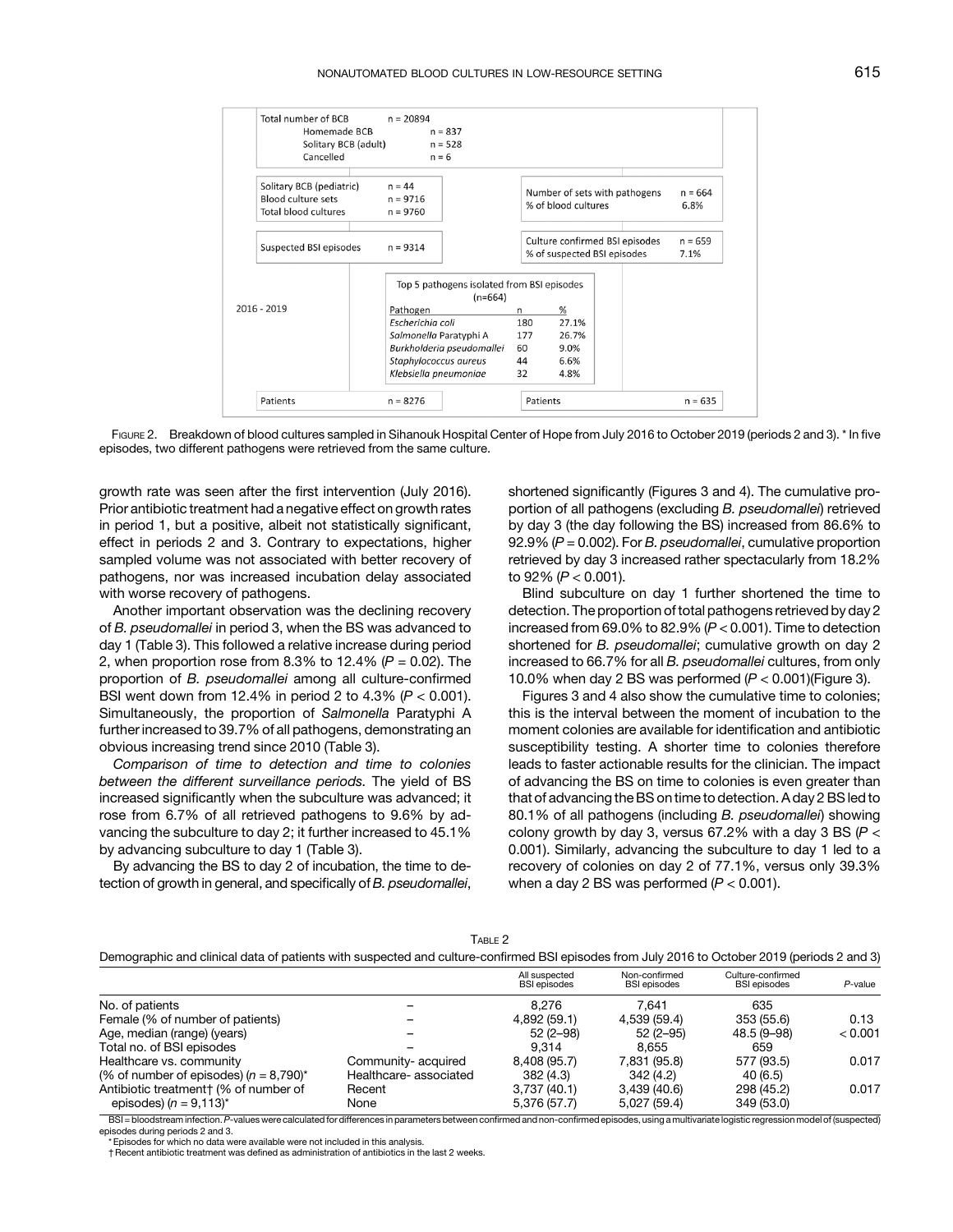<span id="page-3-0"></span>

FIGURE 2. Breakdown of blood cultures sampled in Sihanouk Hospital Center of Hope from July 2016 to October 2019 (periods 2 and 3). \* In five episodes, two different pathogens were retrieved from the same culture.

growth rate was seen after the first intervention (July 2016). Prior antibiotic treatment had a negative effect on growth rates in period 1, but a positive, albeit not statistically significant, effect in periods 2 and 3. Contrary to expectations, higher sampled volume was not associated with better recovery of pathogens, nor was increased incubation delay associated with worse recovery of pathogens.

Another important observation was the declining recovery of B. pseudomallei in period 3, when the BS was advanced to day 1 [\(Table 3\)](#page-4-0). This followed a relative increase during period 2, when proportion rose from 8.3% to 12.4%  $(P = 0.02)$ . The proportion of B. pseudomallei among all culture-confirmed BSI went down from 12.4% in period 2 to 4.3% ( $P < 0.001$ ). Simultaneously, the proportion of Salmonella Paratyphi A further increased to 39.7% of all pathogens, demonstrating an obvious increasing trend since 2010 ([Table 3\)](#page-4-0).

Comparison of time to detection and time to colonies between the different surveillance periods. The yield of BS increased significantly when the subculture was advanced; it rose from 6.7% of all retrieved pathogens to 9.6% by advancing the subculture to day 2; it further increased to 45.1% by advancing subculture to day 1 [\(Table 3](#page-4-0)).

By advancing the BS to day 2 of incubation, the time to detection of growth in general, and specifically of B. pseudomallei, shortened significantly ([Figures 3](#page-5-0) and [4](#page-6-0)). The cumulative proportion of all pathogens (excluding B. pseudomallei) retrieved by day 3 (the day following the BS) increased from 86.6% to 92.9% ( $P = 0.002$ ). For B. pseudomallei, cumulative proportion retrieved by day 3 increased rather spectacularly from 18.2% to 92% (P < 0.001).

Blind subculture on day 1 further shortened the time to detection. The proportion of total pathogens retrieved by day 2 increased from 69.0% to 82.9% (P < 0.001). Time to detection shortened for B. pseudomallei; cumulative growth on day 2 increased to 66.7% for all B. pseudomallei cultures, from only 10.0% when day 2 BS was performed  $(P < 0.001)$  ([Figure 3\)](#page-5-0).

[Figures 3](#page-5-0) and [4](#page-6-0) also show the cumulative time to colonies; this is the interval between the moment of incubation to the moment colonies are available for identification and antibiotic susceptibility testing. A shorter time to colonies therefore leads to faster actionable results for the clinician. The impact of advancing the BS on time to colonies is even greater than that of advancing the BS on time to detection. A day 2 BS led to 80.1% of all pathogens (including B. pseudomallei) showing colony growth by day 3, versus 67.2% with a day 3 BS ( $P <$ 0.001). Similarly, advancing the subculture to day 1 led to a recovery of colonies on day 2 of 77.1%, versus only 39.3% when a day 2 BS was performed  $(P < 0.001)$ .

|--|--|

|  | Demographic and clinical data of patients with suspected and culture-confirmed BSI episodes from July 2016 to October 2019 (periods 2 and 3) |  |  |
|--|----------------------------------------------------------------------------------------------------------------------------------------------|--|--|
|--|----------------------------------------------------------------------------------------------------------------------------------------------|--|--|

|                                           |                       | All suspected<br><b>BSI</b> episodes | Non-confirmed<br><b>BSI</b> episodes | Culture-confirmed<br><b>BSI</b> episodes | P-value |
|-------------------------------------------|-----------------------|--------------------------------------|--------------------------------------|------------------------------------------|---------|
| No. of patients                           |                       | 8.276                                | 7.641                                | 635                                      |         |
| Female (% of number of patients)          |                       | 4,892 (59.1)                         | 4,539 (59.4)                         | 353 (55.6)                               | 0.13    |
| Age, median (range) (years)               |                       | $52(2-98)$                           | $52(2-95)$                           | 48.5 (9-98)                              | < 0.001 |
| Total no. of BSI episodes                 |                       | 9.314                                | 8.655                                | 659                                      |         |
| Healthcare vs. community                  | Community- acquired   | 8.408 (95.7)                         | 7.831 (95.8)                         | 577 (93.5)                               | 0.017   |
| (% of number of episodes) $(n = 8.790)^*$ | Healthcare-associated | 382(4.3)                             | 342(4.2)                             | 40 (6.5)                                 |         |
| Antibiotic treatment + (% of number of    | Recent                | 3.737(40.1)                          | 3.439(40.6)                          | 298 (45.2)                               | 0.017   |
| episodes) $(n = 9.113)^{*}$               | None                  | 5,376 (57.7)                         | 5,027(59.4)                          | 349 (53.0)                               |         |

BSI = bloodstream infection. P-values were calculated for differences in parameters between confirmed and non-confirmed episodes, using a multivariate logistic regression model of (suspected) episodes during periods 2 and 3.

Episodes for which no data were available were not included in this analysis.

†Recent antibiotic treatment was defined as administration of antibiotics in the last 2 weeks.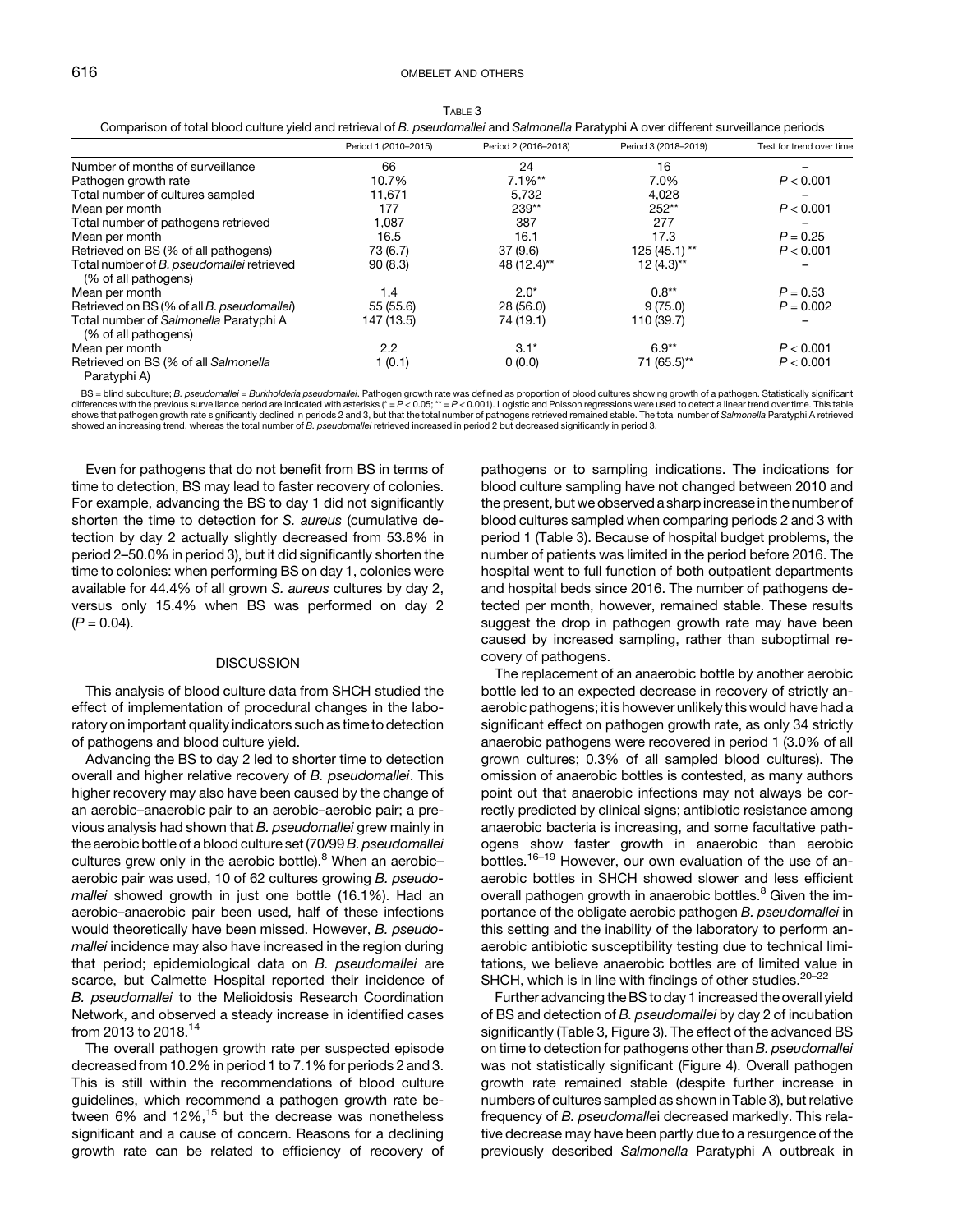## <span id="page-4-0"></span>616 OMBELET AND OTHERS

| Comparison of total blood culture yield and retrieval of B. pseudomallei and Salmonella Paratyphi A over different surveillance periods |                      |                      |                      |                          |
|-----------------------------------------------------------------------------------------------------------------------------------------|----------------------|----------------------|----------------------|--------------------------|
|                                                                                                                                         | Period 1 (2010-2015) | Period 2 (2016-2018) | Period 3 (2018-2019) | Test for trend over time |
| Number of months of surveillance                                                                                                        | 66                   | 24                   | 16                   |                          |
| Pathogen growth rate                                                                                                                    | 10.7%                | $7.1\%**$            | 7.0%                 | P < 0.001                |
| Total number of cultures sampled                                                                                                        | 11.671               | 5.732                | 4,028                |                          |
| Mean per month                                                                                                                          | 177                  | 239**                | 252**                | P < 0.001                |
| Total number of pathogens retrieved                                                                                                     | 1,087                | 387                  | 277                  |                          |
| Mean per month                                                                                                                          | 16.5                 | 16.1                 | 17.3                 | $P = 0.25$               |
| Retrieved on BS (% of all pathogens)                                                                                                    | 73 (6.7)             | 37(9.6)              | $125(45.1)$ **       | P < 0.001                |
| Total number of B. pseudomallei retrieved<br>(% of all pathogens)                                                                       | 90(8.3)              | 48 (12.4)**          | $12(4.3)**$          |                          |
| Mean per month                                                                                                                          | 1.4                  | $2.0*$               | $0.8**$              | $P = 0.53$               |
| Retrieved on BS (% of all B. pseudomallei)                                                                                              | 55 (55.6)            | 28(56.0)             | 9(75.0)              | $P = 0.002$              |
| Total number of Salmonella Paratyphi A<br>(% of all pathogens)                                                                          | 147 (13.5)           | 74 (19.1)            | 110 (39.7)           |                          |
| Mean per month                                                                                                                          | $2.2\phantom{0}$     | $3.1*$               | $6.9**$              | P < 0.001                |
| Retrieved on BS (% of all Salmonella<br>Paratyphi A)                                                                                    | 1 (0.1)              | 0(0.0)               | 71 (65.5)**          | P < 0.001                |

BS = blind subculture; B. pseudomallei = Burkholderia pseudomallei. Pathogen growth rate was defined as proportion of blood cultures showing growth of a pathogen. Statistically significant ifferences with the previous surv shows that pathogen growth rate significantly declined in periods 2 and 3, but that the total number of pathogens retrieved remained stable. The total number of Salmonella Paratyphi A retrieved showed an increasing trend, whereas the total number of B. pseudomallei retrieved increased in period 2 but decreased significantly in period 3.

Even for pathogens that do not benefit from BS in terms of time to detection, BS may lead to faster recovery of colonies. For example, advancing the BS to day 1 did not significantly shorten the time to detection for S. aureus (cumulative detection by day 2 actually slightly decreased from 53.8% in period 2–50.0% in period 3), but it did significantly shorten the time to colonies: when performing BS on day 1, colonies were available for 44.4% of all grown S. aureus cultures by day 2, versus only 15.4% when BS was performed on day 2  $(P = 0.04)$ .

#### **DISCUSSION**

This analysis of blood culture data from SHCH studied the effect of implementation of procedural changes in the laboratory on important quality indicators such as time to detection of pathogens and blood culture yield.

Advancing the BS to day 2 led to shorter time to detection overall and higher relative recovery of B. pseudomallei. This higher recovery may also have been caused by the change of an aerobic–anaerobic pair to an aerobic–aerobic pair; a previous analysis had shown that B. pseudomallei grew mainly in the aerobic bottle of a blood culture set (70/99 B. pseudomallei cultures grew only in the aerobic bottle). $8$  When an aerobicaerobic pair was used, 10 of 62 cultures growing B. pseudomallei showed growth in just one bottle (16.1%). Had an aerobic–anaerobic pair been used, half of these infections would theoretically have been missed. However, B. pseudomallei incidence may also have increased in the region during that period; epidemiological data on B. pseudomallei are scarce, but Calmette Hospital reported their incidence of B. pseudomallei to the Melioidosis Research Coordination Network, and observed a steady increase in identified cases from 2013 to 2018.[14](#page-8-0)

The overall pathogen growth rate per suspected episode decreased from 10.2% in period 1 to 7.1% for periods 2 and 3. This is still within the recommendations of blood culture guidelines, which recommend a pathogen growth rate between  $6\%$  and  $12\%$ ,<sup>[15](#page-8-0)</sup> but the decrease was nonetheless significant and a cause of concern. Reasons for a declining growth rate can be related to efficiency of recovery of pathogens or to sampling indications. The indications for blood culture sampling have not changed between 2010 and the present, but we observed a sharp increase in the number of blood cultures sampled when comparing periods 2 and 3 with period 1 (Table 3). Because of hospital budget problems, the number of patients was limited in the period before 2016. The hospital went to full function of both outpatient departments and hospital beds since 2016. The number of pathogens detected per month, however, remained stable. These results suggest the drop in pathogen growth rate may have been caused by increased sampling, rather than suboptimal recovery of pathogens.

The replacement of an anaerobic bottle by another aerobic bottle led to an expected decrease in recovery of strictly anaerobic pathogens; it is however unlikely this would have had a significant effect on pathogen growth rate, as only 34 strictly anaerobic pathogens were recovered in period 1 (3.0% of all grown cultures; 0.3% of all sampled blood cultures). The omission of anaerobic bottles is contested, as many authors point out that anaerobic infections may not always be correctly predicted by clinical signs; antibiotic resistance among anaerobic bacteria is increasing, and some facultative pathogens show faster growth in anaerobic than aerobic bottles.[16](#page-8-0)–[19](#page-8-0) However, our own evaluation of the use of anaerobic bottles in SHCH showed slower and less efficient overall pathogen growth in anaerobic bottles.<sup>[8](#page-8-0)</sup> Given the importance of the obligate aerobic pathogen B. pseudomallei in this setting and the inability of the laboratory to perform anaerobic antibiotic susceptibility testing due to technical limitations, we believe anaerobic bottles are of limited value in SHCH, which is in line with findings of other studies.<sup>[20](#page-8-0)-[22](#page-8-0)</sup>

Further advancing the BS to day 1 increased the overall yield of BS and detection of B. pseudomallei by day 2 of incubation significantly (Table 3, [Figure 3](#page-5-0)). The effect of the advanced BS on time to detection for pathogens other than B. pseudomallei was not statistically significant [\(Figure 4](#page-6-0)). Overall pathogen growth rate remained stable (despite further increase in numbers of cultures sampled as shown in Table 3), but relative frequency of B. pseudomallei decreased markedly. This relative decrease may have been partly due to a resurgence of the previously described Salmonella Paratyphi A outbreak in

TABLE 3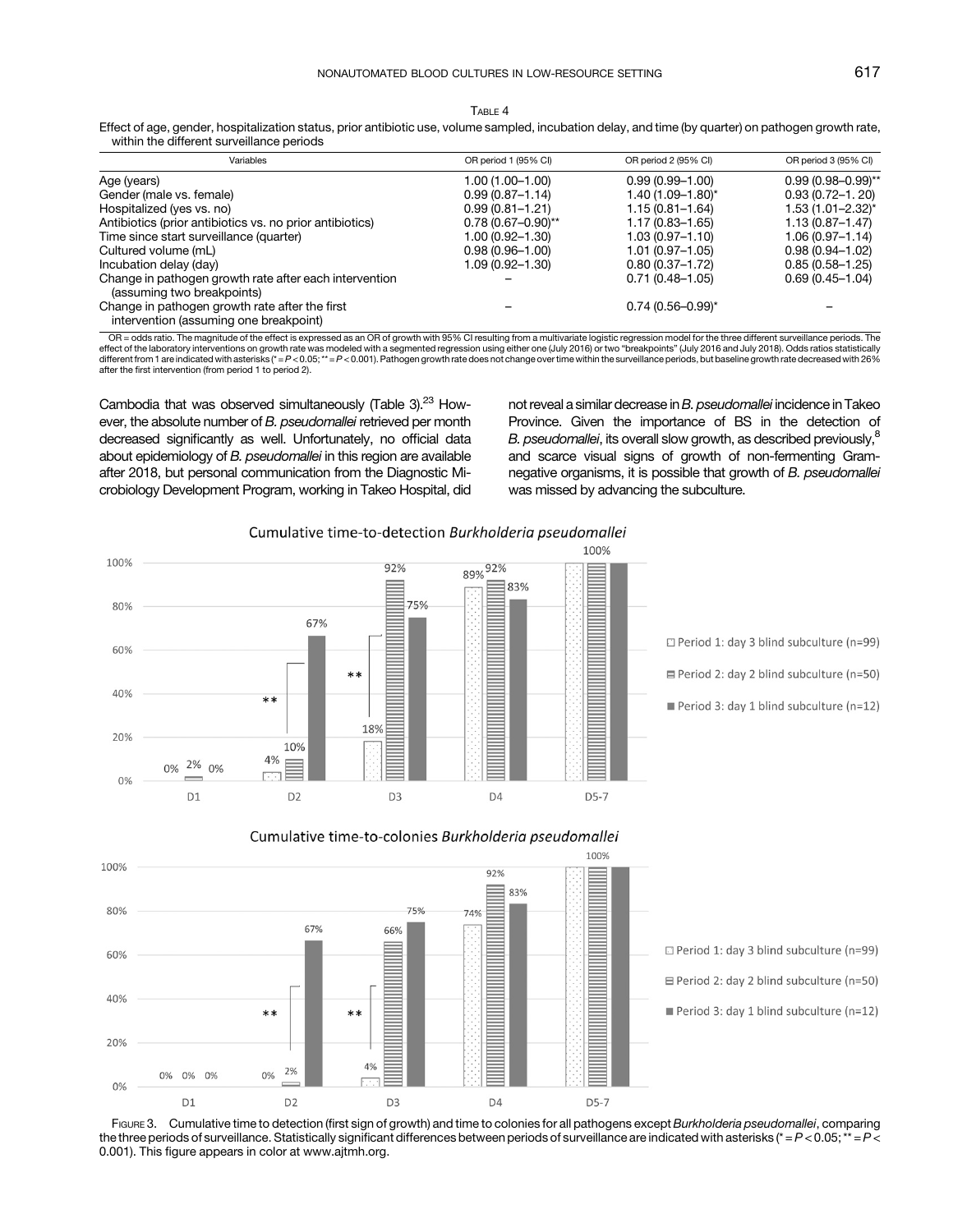<span id="page-5-0"></span>Effect of age, gender, hospitalization status, prior antibiotic use, volume sampled, incubation delay, and time (by quarter) on pathogen growth rate, within the different surveillance periods

| Variables                                                                                | OR period 1 (95% CI)   | OR period 2 (95% CI)    | OR period 3 (95% CI)     |
|------------------------------------------------------------------------------------------|------------------------|-------------------------|--------------------------|
| Age (years)                                                                              | $1.00(1.00 - 1.00)$    | $0.99(0.99 - 1.00)$     | $0.99(0.98 - 0.99)^{**}$ |
| Gender (male vs. female)                                                                 | $0.99(0.87 - 1.14)$    | 1.40 (1.09-1.80)*       | $0.93(0.72 - 1.20)$      |
| Hospitalized (yes vs. no)                                                                | $0.99(0.81 - 1.21)$    | $1.15(0.81 - 1.64)$     | $1.53(1.01 - 2.32)^{*}$  |
| Antibiotics (prior antibiotics vs. no prior antibiotics)                                 | $0.78(0.67 - 0.90)$ ** | $1.17(0.83 - 1.65)$     | $1.13(0.87 - 1.47)$      |
| Time since start surveillance (quarter)                                                  | 1.00 (0.92-1.30)       | $1.03(0.97 - 1.10)$     | $1.06(0.97 - 1.14)$      |
| Cultured volume (mL)                                                                     | $0.98(0.96 - 1.00)$    | $1.01(0.97 - 1.05)$     | $0.98(0.94 - 1.02)$      |
| Incubation delay (day)                                                                   | 1.09 (0.92-1.30)       | $0.80(0.37 - 1.72)$     | $0.85(0.58 - 1.25)$      |
| Change in pathogen growth rate after each intervention<br>(assuming two breakpoints)     |                        | $0.71(0.48 - 1.05)$     | $0.69(0.45 - 1.04)$      |
| Change in pathogen growth rate after the first<br>intervention (assuming one breakpoint) |                        | $0.74(0.56 - 0.99)^{*}$ |                          |

OR = odds ratio. The magnitude of the effect is expressed as an OR of growth with 95% CI resulting from a multivariate logistic regression model for the three different surveillance periods. The effect of the laboratory interventions on growth rate was modeled with a segmented regression using either one (July 2016) or two "breakpoints" (July 2016 and July 2018). Odds ratios statistically<br>different from 1 are indi after the first intervention (from period 1 to period 2).

Cambodia that was observed simultaneously ([Table 3\)](#page-4-0). $23$  However, the absolute number of B. pseudomallei retrieved per month decreased significantly as well. Unfortunately, no official data about epidemiology of B. pseudomallei in this region are available after 2018, but personal communication from the Diagnostic Microbiology Development Program, working in Takeo Hospital, did not reveal a similar decrease in B. pseudomallei incidence in Takeo Province. Given the importance of BS in the detection of B. pseudomallei, its overall slow growth, as described previously,<sup>8</sup> and scarce visual signs of growth of non-fermenting Gramnegative organisms, it is possible that growth of B. pseudomallei was missed by advancing the subculture.



□ Period 1: day 3 blind subculture (n=99)

□ Period 2: day 2 blind subculture (n=50)

Period 3: day 1 blind subculture (n=12)



Cumulative time-to-colonies Burkholderia pseudomallei

Period 1: day 3 blind subculture (n=99)

 $\equiv$  Period 2: day 2 blind subculture (n=50)

Period 3: day 1 blind subculture (n=12)

FIGURE 3. Cumulative time to detection (first sign of growth) and time to colonies for all pathogens except Burkholderia pseudomallei, comparing the three periods of surveillance. Statistically significant differences between periods of surveillance are indicated with asterisks ( $* = P < 0.05; ** = P <$ 0.001). This figure appears in color at [www.ajtmh.org](https://www.ajtmh.org).

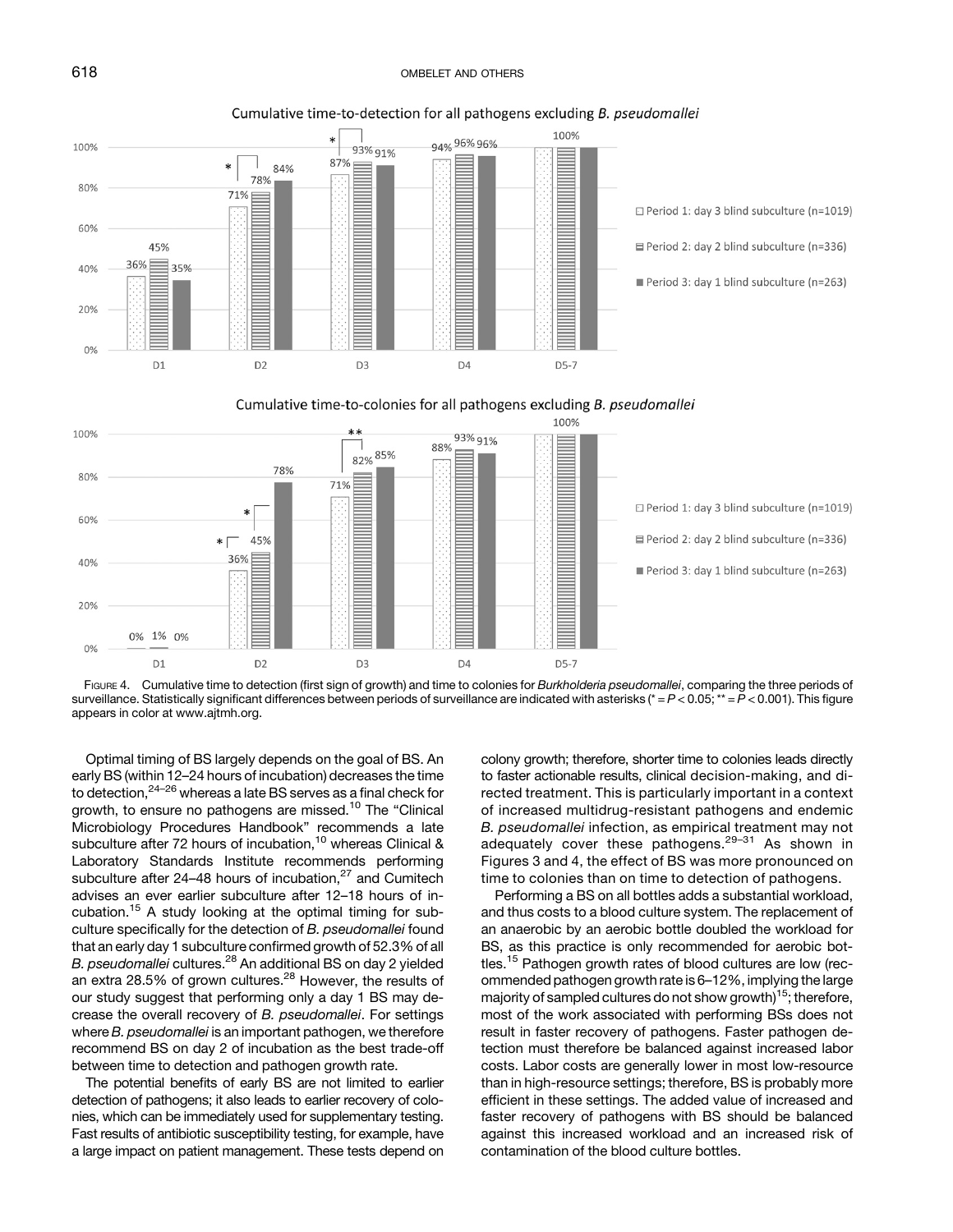# <span id="page-6-0"></span>618 OMBELET AND OTHERS



Cumulative time-to-detection for all pathogens excluding B. pseudomallei







Optimal timing of BS largely depends on the goal of BS. An early BS (within 12–24 hours of incubation) decreases the time to detection,[24](#page-8-0)–[26](#page-8-0) whereas a late BS serves as a final check for growth, to ensure no pathogens are missed.<sup>[10](#page-8-0)</sup> The "Clinical Microbiology Procedures Handbook" recommends a late subculture after 72 hours of incubation,<sup>[10](#page-8-0)</sup> whereas Clinical & Laboratory Standards Institute recommends performing subculture after 24–48 hours of incubation, $27$  and Cumitech advises an ever earlier subculture after 12–18 hours of in-cubation.<sup>[15](#page-8-0)</sup> A study looking at the optimal timing for subculture specifically for the detection of B. pseudomallei found that an early day 1 subculture confirmed growth of 52.3% of all B. pseudomallei cultures.<sup>[28](#page-8-0)</sup> An additional BS on day 2 yielded an extra 28.5% of grown cultures.<sup>28</sup> However, the results of our study suggest that performing only a day 1 BS may decrease the overall recovery of B. pseudomallei. For settings where B. pseudomallei is an important pathogen, we therefore recommend BS on day 2 of incubation as the best trade-off between time to detection and pathogen growth rate.

The potential benefits of early BS are not limited to earlier detection of pathogens; it also leads to earlier recovery of colonies, which can be immediately used for supplementary testing. Fast results of antibiotic susceptibility testing, for example, have a large impact on patient management. These tests depend on colony growth; therefore, shorter time to colonies leads directly to faster actionable results, clinical decision-making, and directed treatment. This is particularly important in a context of increased multidrug-resistant pathogens and endemic B. pseudomallei infection, as empirical treatment may not adequately cover these pathogens.<sup>[29](#page-8-0)-[31](#page-8-0)</sup> As shown in [Figures 3](#page-5-0) and 4, the effect of BS was more pronounced on time to colonies than on time to detection of pathogens.

Performing a BS on all bottles adds a substantial workload, and thus costs to a blood culture system. The replacement of an anaerobic by an aerobic bottle doubled the workload for BS, as this practice is only recommended for aerobic bottles.[15](#page-8-0) Pathogen growth rates of blood cultures are low (recommended pathogen growth rate is 6–12%, implying the large majority of sampled cultures do not show growth)<sup>[15](#page-8-0)</sup>; therefore, most of the work associated with performing BSs does not result in faster recovery of pathogens. Faster pathogen detection must therefore be balanced against increased labor costs. Labor costs are generally lower in most low-resource than in high-resource settings; therefore, BS is probably more efficient in these settings. The added value of increased and faster recovery of pathogens with BS should be balanced against this increased workload and an increased risk of contamination of the blood culture bottles.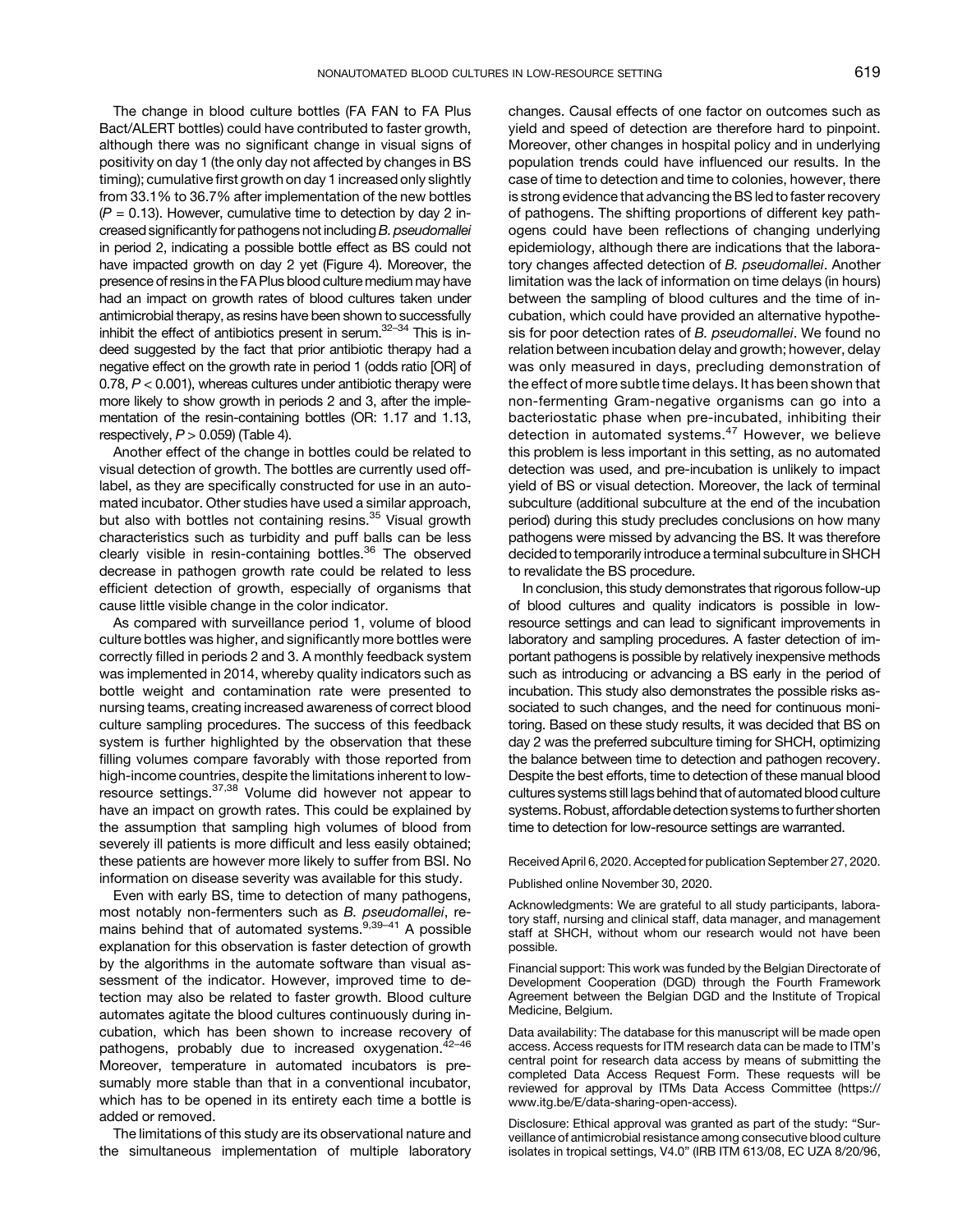The change in blood culture bottles (FA FAN to FA Plus Bact/ALERT bottles) could have contributed to faster growth, although there was no significant change in visual signs of positivity on day 1 (the only day not affected by changes in BS timing); cumulative first growth on day 1 increased only slightly from 33.1% to 36.7% after implementation of the new bottles  $(P = 0.13)$ . However, cumulative time to detection by day 2 increased significantly for pathogens not including B. pseudomallei in period 2, indicating a possible bottle effect as BS could not have impacted growth on day 2 yet ([Figure 4](#page-6-0)). Moreover, the presence of resins in the FA Plus blood culture medium may have had an impact on growth rates of blood cultures taken under antimicrobial therapy, as resins have been shown to successfully inhibit the effect of antibiotics present in serum. $32-34$  $32-34$  This is indeed suggested by the fact that prior antibiotic therapy had a negative effect on the growth rate in period 1 (odds ratio [OR] of 0.78,  $P < 0.001$ ), whereas cultures under antibiotic therapy were more likely to show growth in periods 2 and 3, after the implementation of the resin-containing bottles (OR: 1.17 and 1.13, respectively,  $P > 0.059$ ) [\(Table 4](#page-5-0)).

Another effect of the change in bottles could be related to visual detection of growth. The bottles are currently used offlabel, as they are specifically constructed for use in an automated incubator. Other studies have used a similar approach, but also with bottles not containing resins.<sup>[35](#page-8-0)</sup> Visual growth characteristics such as turbidity and puff balls can be less clearly visible in resin-containing bottles.<sup>[36](#page-8-0)</sup> The observed decrease in pathogen growth rate could be related to less efficient detection of growth, especially of organisms that cause little visible change in the color indicator.

As compared with surveillance period 1, volume of blood culture bottles was higher, and significantly more bottles were correctly filled in periods 2 and 3. A monthly feedback system was implemented in 2014, whereby quality indicators such as bottle weight and contamination rate were presented to nursing teams, creating increased awareness of correct blood culture sampling procedures. The success of this feedback system is further highlighted by the observation that these filling volumes compare favorably with those reported from high-income countries, despite the limitations inherent to low-resource settings.<sup>[37,38](#page-8-0)</sup> Volume did however not appear to have an impact on growth rates. This could be explained by the assumption that sampling high volumes of blood from severely ill patients is more difficult and less easily obtained; these patients are however more likely to suffer from BSI. No information on disease severity was available for this study.

Even with early BS, time to detection of many pathogens, most notably non-fermenters such as B. pseudomallei, re-mains behind that of automated systems.<sup>[9,39](#page-8-0)-[41](#page-9-0)</sup> A possible explanation for this observation is faster detection of growth by the algorithms in the automate software than visual assessment of the indicator. However, improved time to detection may also be related to faster growth. Blood culture automates agitate the blood cultures continuously during incubation, which has been shown to increase recovery of pathogens, probably due to increased oxygenation.<sup>[42](#page-9-0)-[46](#page-9-0)</sup> Moreover, temperature in automated incubators is presumably more stable than that in a conventional incubator, which has to be opened in its entirety each time a bottle is added or removed.

The limitations of this study are its observational nature and the simultaneous implementation of multiple laboratory changes. Causal effects of one factor on outcomes such as yield and speed of detection are therefore hard to pinpoint. Moreover, other changes in hospital policy and in underlying population trends could have influenced our results. In the case of time to detection and time to colonies, however, there is strong evidence that advancing the BS led to faster recovery of pathogens. The shifting proportions of different key pathogens could have been reflections of changing underlying epidemiology, although there are indications that the laboratory changes affected detection of B. pseudomallei. Another limitation was the lack of information on time delays (in hours) between the sampling of blood cultures and the time of incubation, which could have provided an alternative hypothesis for poor detection rates of B. pseudomallei. We found no relation between incubation delay and growth; however, delay was only measured in days, precluding demonstration of the effect of more subtle time delays. It has been shown that non-fermenting Gram-negative organisms can go into a bacteriostatic phase when pre-incubated, inhibiting their detection in automated systems.<sup>[47](#page-9-0)</sup> However, we believe this problem is less important in this setting, as no automated detection was used, and pre-incubation is unlikely to impact yield of BS or visual detection. Moreover, the lack of terminal subculture (additional subculture at the end of the incubation period) during this study precludes conclusions on how many pathogens were missed by advancing the BS. It was therefore decided to temporarily introduce a terminal subculture in SHCH to revalidate the BS procedure.

In conclusion, this study demonstrates that rigorous follow-up of blood cultures and quality indicators is possible in lowresource settings and can lead to significant improvements in laboratory and sampling procedures. A faster detection of important pathogens is possible by relatively inexpensive methods such as introducing or advancing a BS early in the period of incubation. This study also demonstrates the possible risks associated to such changes, and the need for continuous monitoring. Based on these study results, it was decided that BS on day 2 was the preferred subculture timing for SHCH, optimizing the balance between time to detection and pathogen recovery. Despite the best efforts, time to detection of these manual blood cultures systems still lags behind that of automated blood culture systems. Robust, affordable detection systems to further shorten time to detection for low-resource settings are warranted.

Received April 6, 2020. Accepted for publication September 27, 2020.

Published online November 30, 2020.

Acknowledgments: We are grateful to all study participants, laboratory staff, nursing and clinical staff, data manager, and management staff at SHCH, without whom our research would not have been possible.

Financial support: This work was funded by the Belgian Directorate of Development Cooperation (DGD) through the Fourth Framework Agreement between the Belgian DGD and the Institute of Tropical Medicine, Belgium.

Data availability: The database for this manuscript will be made open access. Access requests for ITM research data can be made to ITM's central point for research data access by means of submitting the completed Data Access Request Form. These requests will be reviewed for approval by ITMs Data Access Committee ([https://](https://www.itg.be/E/data-sharing-open-access) [www.itg.be/E/data-sharing-open-access\)](https://www.itg.be/E/data-sharing-open-access).

Disclosure: Ethical approval was granted as part of the study: "Surveillance of antimicrobial resistance among consecutive blood culture isolates in tropical settings, V4.0" (IRB ITM 613/08, EC UZA 8/20/96,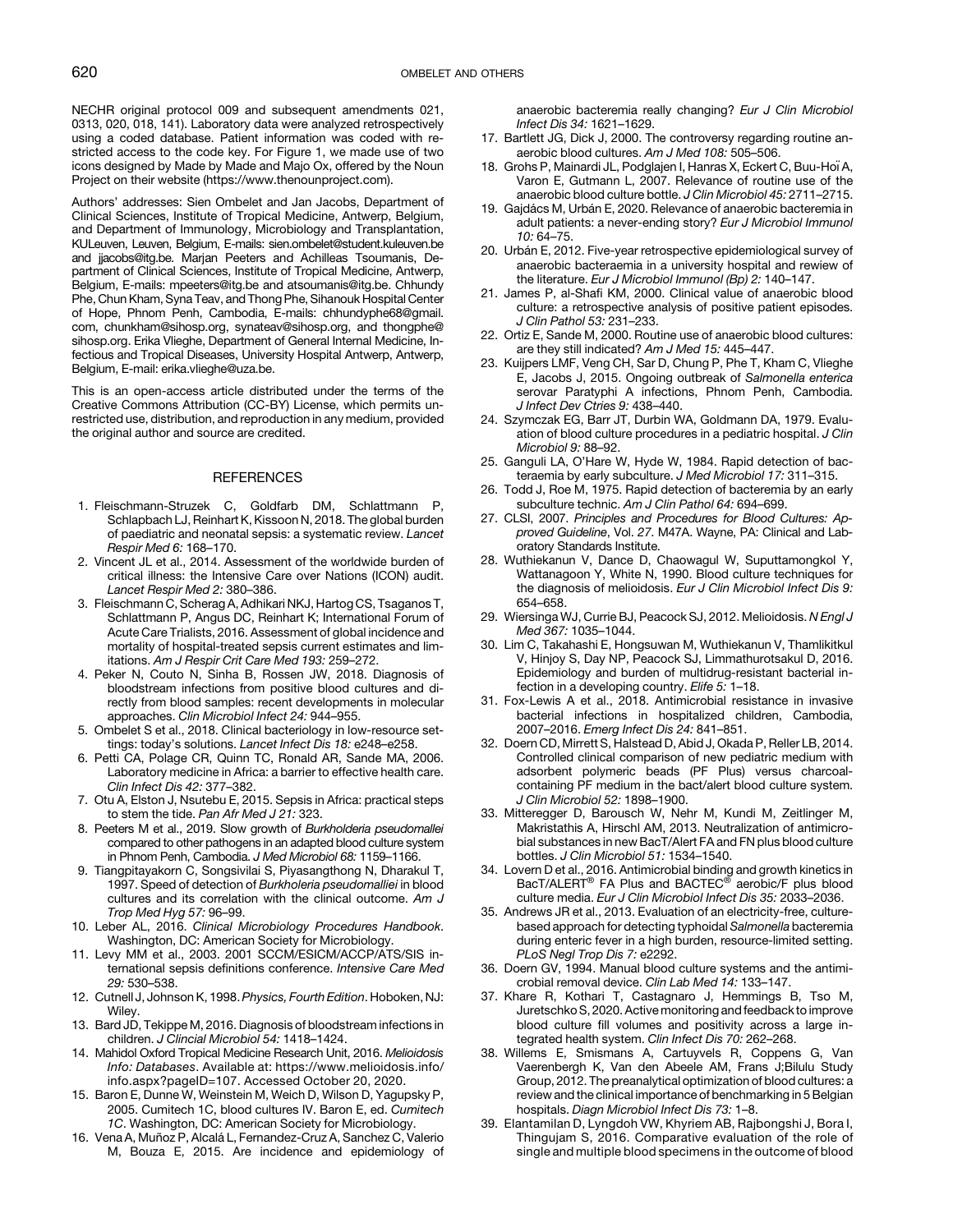<span id="page-8-0"></span>NECHR original protocol 009 and subsequent amendments 021, 0313, 020, 018, 141). Laboratory data were analyzed retrospectively using a coded database. Patient information was coded with restricted access to the code key. For Figure 1, we made use of two icons designed by Made by Made and Majo Ox, offered by the Noun Project on their website ([https://www.thenounproject.com\)](https://https://www.thenounproject.com).

Authors' addresses: Sien Ombelet and Jan Jacobs, Department of Clinical Sciences, Institute of Tropical Medicine, Antwerp, Belgium, and Department of Immunology, Microbiology and Transplantation, KULeuven, Leuven, Belgium, E-mails: [sien.ombelet@student.kuleuven.be](mailto:sien.ombelet@student.kuleuven.be) and [jjacobs@itg.be.](mailto:jjacobs@itg.be) Marjan Peeters and Achilleas Tsoumanis, Department of Clinical Sciences, Institute of Tropical Medicine, Antwerp, Belgium, E-mails: [mpeeters@itg.be](mailto:mpeeters@itg.be) and [atsoumanis@itg.be](mailto:atsoumanis@itg.be). Chhundy Phe, Chun Kham, Syna Teav, and Thong Phe, Sihanouk Hospital Center of Hope, Phnom Penh, Cambodia, E-mails: [chhundyphe68@gmail.](mailto:chhundyphe68@gmail.com) [com](mailto:chhundyphe68@gmail.com), [chunkham@sihosp.org](mailto:chunkham@sihosp.org), [synateav@sihosp.org,](mailto:synateav@sihosp.org) and [thongphe@](mailto:thongphe@sihosp.org) [sihosp.org](mailto:thongphe@sihosp.org). Erika Vlieghe, Department of General Internal Medicine, Infectious and Tropical Diseases, University Hospital Antwerp, Antwerp, Belgium, E-mail: [erika.vlieghe@uza.be.](mailto:erika.vlieghe@uza.be)

This is an open-access article distributed under the terms of the [Creative Commons Attribution \(CC-BY\) License,](https://creativecommons.org/licenses/by/4.0/) which permits unrestricted use, distribution, and reproduction in any medium, provided the original author and source are credited.

#### **REFERENCES**

- 1. Fleischmann-Struzek C, Goldfarb DM, Schlattmann P, Schlapbach LJ, Reinhart K, Kissoon N, 2018. The global burden of paediatric and neonatal sepsis: a systematic review. Lancet Respir Med 6: 168–170.
- 2. Vincent JL et al., 2014. Assessment of the worldwide burden of critical illness: the Intensive Care over Nations (ICON) audit. Lancet Respir Med 2: 380–386.
- 3. Fleischmann C, Scherag A, Adhikari NKJ, Hartog CS, Tsaganos T, Schlattmann P, Angus DC, Reinhart K; International Forum of Acute Care Trialists, 2016. Assessment of global incidence and mortality of hospital-treated sepsis current estimates and limitations. Am J Respir Crit Care Med 193: 259–272.
- 4. Peker N, Couto N, Sinha B, Rossen JW, 2018. Diagnosis of bloodstream infections from positive blood cultures and directly from blood samples: recent developments in molecular approaches. Clin Microbiol Infect 24: 944–955.
- 5. Ombelet S et al., 2018. Clinical bacteriology in low-resource settings: today's solutions. Lancet Infect Dis 18: e248–e258.
- 6. Petti CA, Polage CR, Quinn TC, Ronald AR, Sande MA, 2006. Laboratory medicine in Africa: a barrier to effective health care. Clin Infect Dis 42: 377–382.
- 7. Otu A, Elston J, Nsutebu E, 2015. Sepsis in Africa: practical steps to stem the tide. Pan Afr Med J 21: 323.
- 8. Peeters M et al., 2019. Slow growth of Burkholderia pseudomallei compared to other pathogens in an adapted blood culture system in Phnom Penh, Cambodia. J Med Microbiol 68: 1159–1166.
- 9. Tiangpitayakorn C, Songsivilai S, Piyasangthong N, Dharakul T, 1997. Speed of detection of Burkholeria pseudomalliei in blood cultures and its correlation with the clinical outcome. Am J Trop Med Hyg 57: 96–99.
- 10. Leber AL, 2016. Clinical Microbiology Procedures Handbook. Washington, DC: American Society for Microbiology.
- 11. Levy MM et al., 2003. 2001 SCCM/ESICM/ACCP/ATS/SIS international sepsis definitions conference. Intensive Care Med 29: 530–538.
- 12. Cutnell J, Johnson K, 1998. Physics, Fourth Edition. Hoboken, NJ: Wiley.
- 13. Bard JD, Tekippe M, 2016. Diagnosis of bloodstream infections in children. J Clincial Microbiol 54: 1418–1424.
- 14. Mahidol Oxford Tropical Medicine Research Unit, 2016. Melioidosis Info: Databases. Available at: [https://www.melioidosis.info/](https://www.melioidosis.info/info.aspx?pageID=107) [info.aspx?pageID=107.](https://www.melioidosis.info/info.aspx?pageID=107) Accessed October 20, 2020.
- 15. Baron E, Dunne W, Weinstein M, Weich D, Wilson D, Yagupsky P, 2005. Cumitech 1C, blood cultures IV. Baron E, ed. Cumitech 1C. Washington, DC: American Society for Microbiology.
- 16. Vena A, Muñoz P, Alcalá L, Fernandez-Cruz A, Sanchez C, Valerio M, Bouza E, 2015. Are incidence and epidemiology of

anaerobic bacteremia really changing? Eur J Clin Microbiol Infect Dis 34: 1621–1629.

- 17. Bartlett JG, Dick J, 2000. The controversy regarding routine anaerobic blood cultures. Am J Med 108: 505–506.
- 18. Grohs P, Mainardi JL, Podglajen I, Hanras X, Eckert C, Buu-Hoï A, Varon E, Gutmann L, 2007. Relevance of routine use of the anaerobic blood culture bottle. J Clin Microbiol 45: 2711–2715.
- 19. Gajdács M, Urbán E, 2020. Relevance of anaerobic bacteremia in adult patients: a never-ending story? Eur J Microbiol Immunol 10: 64–75.
- 20. Urbán E, 2012. Five-year retrospective epidemiological survey of anaerobic bacteraemia in a university hospital and rewiew of the literature. Eur J Microbiol Immunol (Bp) 2: 140–147.
- 21. James P, al-Shafi KM, 2000. Clinical value of anaerobic blood culture: a retrospective analysis of positive patient episodes. J Clin Pathol 53: 231–233.
- 22. Ortiz E, Sande M, 2000. Routine use of anaerobic blood cultures: are they still indicated? Am J Med 15: 445-447.
- 23. Kuijpers LMF, Veng CH, Sar D, Chung P, Phe T, Kham C, Vlieghe E, Jacobs J, 2015. Ongoing outbreak of Salmonella enterica serovar Paratyphi A infections, Phnom Penh, Cambodia. J Infect Dev Ctries 9: 438–440.
- 24. Szymczak EG, Barr JT, Durbin WA, Goldmann DA, 1979. Evaluation of blood culture procedures in a pediatric hospital. J Clin Microbiol 9: 88–92.
- 25. Ganguli LA, O'Hare W, Hyde W, 1984. Rapid detection of bacteraemia by early subculture. J Med Microbiol 17: 311–315.
- 26. Todd J, Roe M, 1975. Rapid detection of bacteremia by an early subculture technic. Am J Clin Pathol 64: 694-699.
- 27. CLSI, 2007. Principles and Procedures for Blood Cultures: Approved Guideline, Vol. 27. M47A. Wayne, PA: Clinical and Laboratory Standards Institute.
- 28. Wuthiekanun V, Dance D, Chaowagul W, Suputtamongkol Y, Wattanagoon Y, White N, 1990. Blood culture techniques for the diagnosis of melioidosis. Eur J Clin Microbiol Infect Dis 9: 654–658.
- 29. Wiersinga WJ, Currie BJ, Peacock SJ, 2012. Melioidosis. N Engl J Med 367: 1035–1044.
- 30. Lim C, Takahashi E, Hongsuwan M, Wuthiekanun V, Thamlikitkul V, Hinjoy S, Day NP, Peacock SJ, Limmathurotsakul D, 2016. Epidemiology and burden of multidrug-resistant bacterial infection in a developing country. Elife 5: 1–18.
- 31. Fox-Lewis A et al., 2018. Antimicrobial resistance in invasive bacterial infections in hospitalized children, Cambodia, 2007–2016. Emerg Infect Dis 24: 841–851.
- 32. Doern CD, Mirrett S, Halstead D, Abid J, Okada P, Reller LB, 2014. Controlled clinical comparison of new pediatric medium with adsorbent polymeric beads (PF Plus) versus charcoalcontaining PF medium in the bact/alert blood culture system. J Clin Microbiol 52: 1898–1900.
- 33. Mitteregger D, Barousch W, Nehr M, Kundi M, Zeitlinger M, Makristathis A, Hirschl AM, 2013. Neutralization of antimicrobial substances in new BacT/Alert FA and FN plus blood culture bottles. J Clin Microbiol 51: 1534–1540.
- 34. Lovern D et al., 2016. Antimicrobial binding and growth kinetics in BacT/ALERT<sup>®</sup> FA Plus and BACTEC<sup>®</sup> aerobic/F plus blood culture media. Eur J Clin Microbiol Infect Dis 35: 2033–2036.
- 35. Andrews JR et al., 2013. Evaluation of an electricity-free, culturebased approach for detecting typhoidal Salmonella bacteremia during enteric fever in a high burden, resource-limited setting. PLoS Negl Trop Dis 7: e2292.
- 36. Doern GV, 1994. Manual blood culture systems and the antimicrobial removal device. Clin Lab Med 14: 133–147.
- 37. Khare R, Kothari T, Castagnaro J, Hemmings B, Tso M, Juretschko S, 2020. Active monitoring and feedback to improve blood culture fill volumes and positivity across a large integrated health system. Clin Infect Dis 70: 262–268.
- 38. Willems E, Smismans A, Cartuyvels R, Coppens G, Van Vaerenbergh K, Van den Abeele AM, Frans J;Bilulu Study Group, 2012. The preanalytical optimization of blood cultures: a review and the clinical importance of benchmarking in 5 Belgian hospitals. Diagn Microbiol Infect Dis 73: 1–8.
- 39. Elantamilan D, Lyngdoh VW, Khyriem AB, Rajbongshi J, Bora I, Thingujam S, 2016. Comparative evaluation of the role of single and multiple blood specimens in the outcome of blood